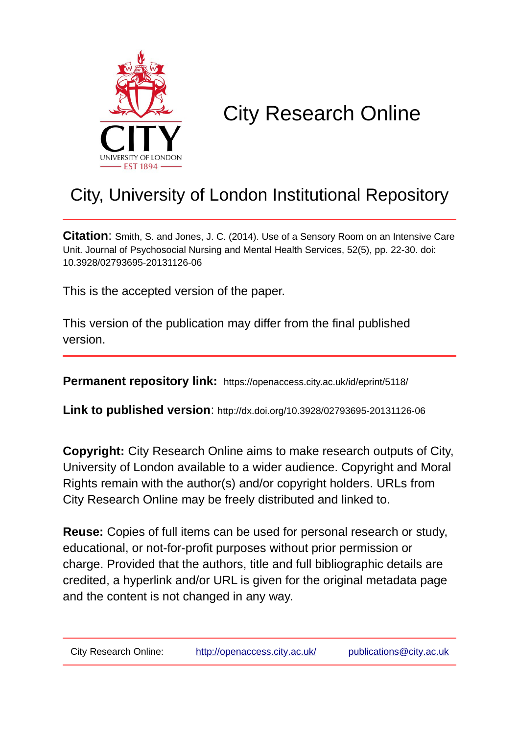

# City Research Online

# City, University of London Institutional Repository

**Citation**: Smith, S. and Jones, J. C. (2014). Use of a Sensory Room on an Intensive Care Unit. Journal of Psychosocial Nursing and Mental Health Services, 52(5), pp. 22-30. doi: 10.3928/02793695-20131126-06

This is the accepted version of the paper.

This version of the publication may differ from the final published version.

**Permanent repository link:** https://openaccess.city.ac.uk/id/eprint/5118/

**Link to published version**: http://dx.doi.org/10.3928/02793695-20131126-06

**Copyright:** City Research Online aims to make research outputs of City, University of London available to a wider audience. Copyright and Moral Rights remain with the author(s) and/or copyright holders. URLs from City Research Online may be freely distributed and linked to.

**Reuse:** Copies of full items can be used for personal research or study, educational, or not-for-profit purposes without prior permission or charge. Provided that the authors, title and full bibliographic details are credited, a hyperlink and/or URL is given for the original metadata page and the content is not changed in any way.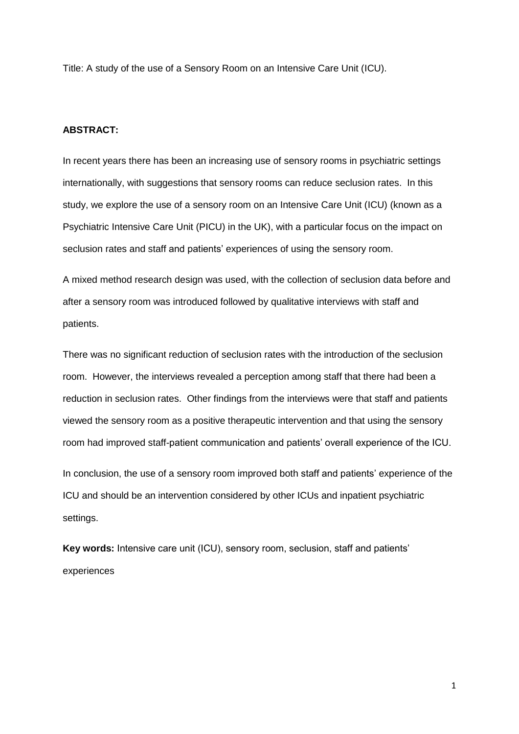Title: A study of the use of a Sensory Room on an Intensive Care Unit (ICU).

# **ABSTRACT:**

In recent years there has been an increasing use of sensory rooms in psychiatric settings internationally, with suggestions that sensory rooms can reduce seclusion rates. In this study, we explore the use of a sensory room on an Intensive Care Unit (ICU) (known as a Psychiatric Intensive Care Unit (PICU) in the UK), with a particular focus on the impact on seclusion rates and staff and patients' experiences of using the sensory room.

A mixed method research design was used, with the collection of seclusion data before and after a sensory room was introduced followed by qualitative interviews with staff and patients.

There was no significant reduction of seclusion rates with the introduction of the seclusion room. However, the interviews revealed a perception among staff that there had been a reduction in seclusion rates. Other findings from the interviews were that staff and patients viewed the sensory room as a positive therapeutic intervention and that using the sensory room had improved staff-patient communication and patients' overall experience of the ICU.

In conclusion, the use of a sensory room improved both staff and patients' experience of the ICU and should be an intervention considered by other ICUs and inpatient psychiatric settings.

**Key words:** Intensive care unit (ICU), sensory room, seclusion, staff and patients' experiences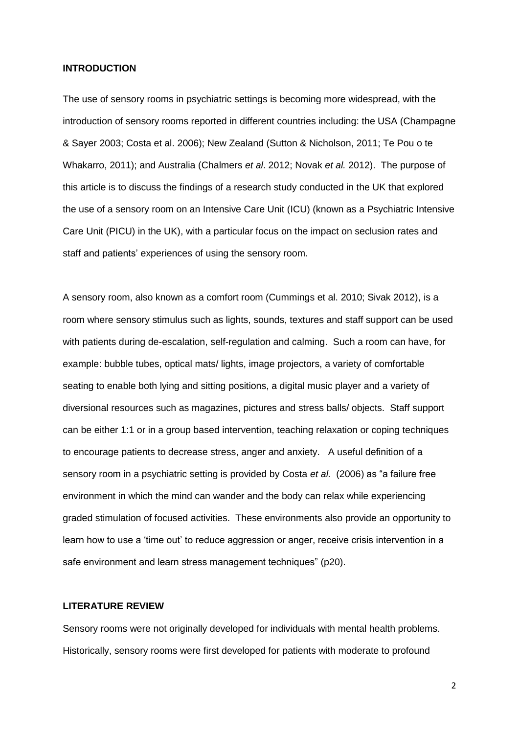#### **INTRODUCTION**

The use of sensory rooms in psychiatric settings is becoming more widespread, with the introduction of sensory rooms reported in different countries including: the USA (Champagne & Sayer 2003; Costa et al. 2006); New Zealand (Sutton & Nicholson, 2011; Te Pou o te Whakarro, 2011); and Australia (Chalmers *et al*. 2012; Novak *et al.* 2012). The purpose of this article is to discuss the findings of a research study conducted in the UK that explored the use of a sensory room on an Intensive Care Unit (ICU) (known as a Psychiatric Intensive Care Unit (PICU) in the UK), with a particular focus on the impact on seclusion rates and staff and patients' experiences of using the sensory room.

A sensory room, also known as a comfort room (Cummings et al. 2010; Sivak 2012), is a room where sensory stimulus such as lights, sounds, textures and staff support can be used with patients during de-escalation, self-regulation and calming. Such a room can have, for example: bubble tubes, optical mats/ lights, image projectors, a variety of comfortable seating to enable both lying and sitting positions, a digital music player and a variety of diversional resources such as magazines, pictures and stress balls/ objects. Staff support can be either 1:1 or in a group based intervention, teaching relaxation or coping techniques to encourage patients to decrease stress, anger and anxiety. A useful definition of a sensory room in a psychiatric setting is provided by Costa *et al.* (2006) as "a failure free environment in which the mind can wander and the body can relax while experiencing graded stimulation of focused activities. These environments also provide an opportunity to learn how to use a 'time out' to reduce aggression or anger, receive crisis intervention in a safe environment and learn stress management techniques" (p20).

# **LITERATURE REVIEW**

Sensory rooms were not originally developed for individuals with mental health problems. Historically, sensory rooms were first developed for patients with moderate to profound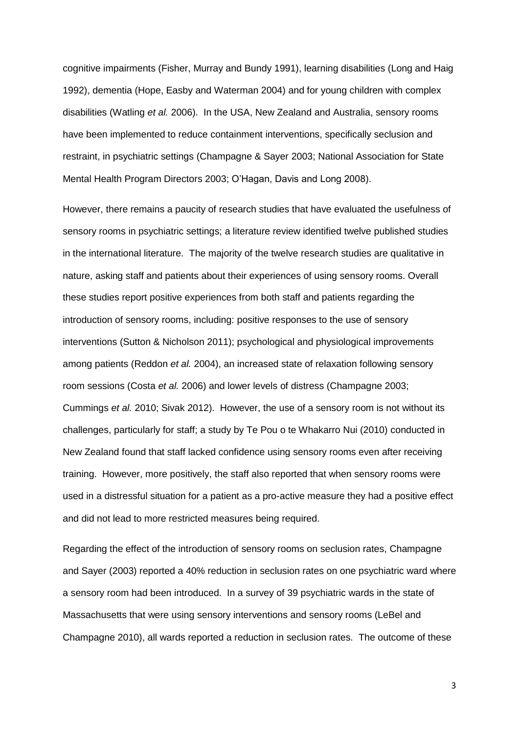cognitive impairments (Fisher, Murray and Bundy 1991), learning disabilities (Long and Haig 1992), dementia (Hope, Easby and Waterman 2004) and for young children with complex disabilities (Watling *et al.* 2006). In the USA, New Zealand and Australia, sensory rooms have been implemented to reduce containment interventions, specifically seclusion and restraint, in psychiatric settings (Champagne & Sayer 2003; National Association for State Mental Health Program Directors 2003; O'Hagan, Davis and Long 2008).

However, there remains a paucity of research studies that have evaluated the usefulness of sensory rooms in psychiatric settings; a literature review identified twelve published studies in the international literature. The majority of the twelve research studies are qualitative in nature, asking staff and patients about their experiences of using sensory rooms. Overall these studies report positive experiences from both staff and patients regarding the introduction of sensory rooms, including: positive responses to the use of sensory interventions (Sutton & Nicholson 2011); psychological and physiological improvements among patients (Reddon *et al.* 2004), an increased state of relaxation following sensory room sessions (Costa *et al.* 2006) and lower levels of distress (Champagne 2003; Cummings *et al.* 2010; Sivak 2012). However, the use of a sensory room is not without its challenges, particularly for staff; a study by Te Pou o te Whakarro Nui (2010) conducted in New Zealand found that staff lacked confidence using sensory rooms even after receiving training. However, more positively, the staff also reported that when sensory rooms were used in a distressful situation for a patient as a pro-active measure they had a positive effect and did not lead to more restricted measures being required.

Regarding the effect of the introduction of sensory rooms on seclusion rates, Champagne and Sayer (2003) reported a 40% reduction in seclusion rates on one psychiatric ward where a sensory room had been introduced. In a survey of 39 psychiatric wards in the state of Massachusetts that were using sensory interventions and sensory rooms (LeBel and Champagne 2010), all wards reported a reduction in seclusion rates. The outcome of these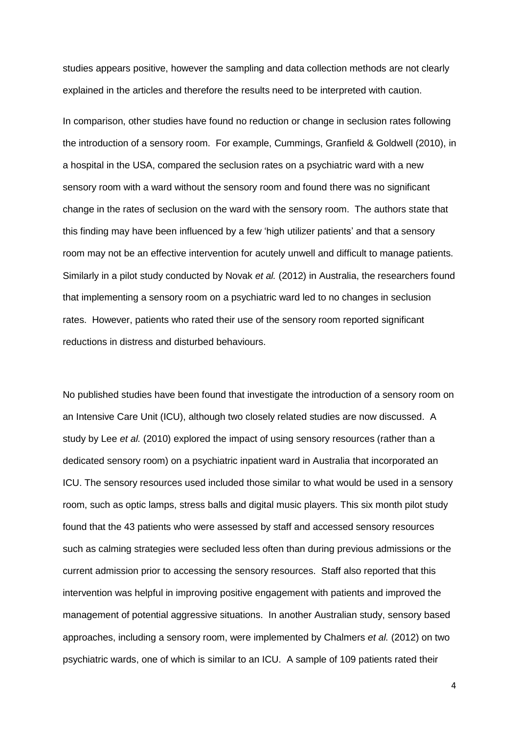studies appears positive, however the sampling and data collection methods are not clearly explained in the articles and therefore the results need to be interpreted with caution.

In comparison, other studies have found no reduction or change in seclusion rates following the introduction of a sensory room. For example, Cummings, Granfield & Goldwell (2010), in a hospital in the USA, compared the seclusion rates on a psychiatric ward with a new sensory room with a ward without the sensory room and found there was no significant change in the rates of seclusion on the ward with the sensory room. The authors state that this finding may have been influenced by a few 'high utilizer patients' and that a sensory room may not be an effective intervention for acutely unwell and difficult to manage patients. Similarly in a pilot study conducted by Novak *et al.* (2012) in Australia, the researchers found that implementing a sensory room on a psychiatric ward led to no changes in seclusion rates. However, patients who rated their use of the sensory room reported significant reductions in distress and disturbed behaviours.

No published studies have been found that investigate the introduction of a sensory room on an Intensive Care Unit (ICU), although two closely related studies are now discussed. A study by Lee *et al.* (2010) explored the impact of using sensory resources (rather than a dedicated sensory room) on a psychiatric inpatient ward in Australia that incorporated an ICU. The sensory resources used included those similar to what would be used in a sensory room, such as optic lamps, stress balls and digital music players. This six month pilot study found that the 43 patients who were assessed by staff and accessed sensory resources such as calming strategies were secluded less often than during previous admissions or the current admission prior to accessing the sensory resources. Staff also reported that this intervention was helpful in improving positive engagement with patients and improved the management of potential aggressive situations. In another Australian study, sensory based approaches, including a sensory room, were implemented by Chalmers *et al.* (2012) on two psychiatric wards, one of which is similar to an ICU. A sample of 109 patients rated their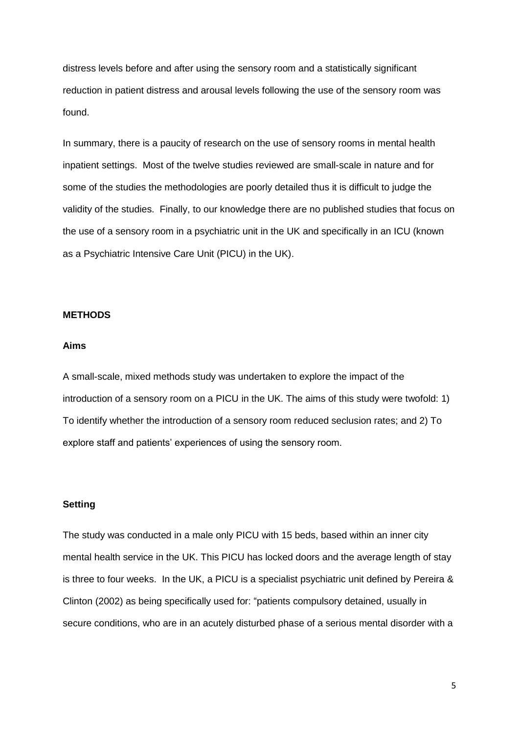distress levels before and after using the sensory room and a statistically significant reduction in patient distress and arousal levels following the use of the sensory room was found.

In summary, there is a paucity of research on the use of sensory rooms in mental health inpatient settings. Most of the twelve studies reviewed are small-scale in nature and for some of the studies the methodologies are poorly detailed thus it is difficult to judge the validity of the studies. Finally, to our knowledge there are no published studies that focus on the use of a sensory room in a psychiatric unit in the UK and specifically in an ICU (known as a Psychiatric Intensive Care Unit (PICU) in the UK).

#### **METHODS**

#### **Aims**

A small-scale, mixed methods study was undertaken to explore the impact of the introduction of a sensory room on a PICU in the UK. The aims of this study were twofold: 1) To identify whether the introduction of a sensory room reduced seclusion rates; and 2) To explore staff and patients' experiences of using the sensory room.

# **Setting**

The study was conducted in a male only PICU with 15 beds, based within an inner city mental health service in the UK. This PICU has locked doors and the average length of stay is three to four weeks. In the UK, a PICU is a specialist psychiatric unit defined by Pereira & Clinton (2002) as being specifically used for: "patients compulsory detained, usually in secure conditions, who are in an acutely disturbed phase of a serious mental disorder with a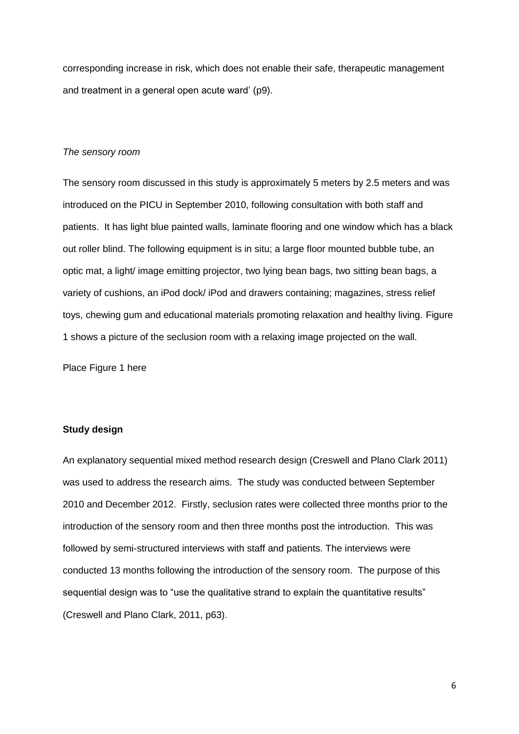corresponding increase in risk, which does not enable their safe, therapeutic management and treatment in a general open acute ward' (p9).

# *The sensory room*

The sensory room discussed in this study is approximately 5 meters by 2.5 meters and was introduced on the PICU in September 2010, following consultation with both staff and patients. It has light blue painted walls, laminate flooring and one window which has a black out roller blind. The following equipment is in situ; a large floor mounted bubble tube, an optic mat, a light/ image emitting projector, two lying bean bags, two sitting bean bags, a variety of cushions, an iPod dock/ iPod and drawers containing; magazines, stress relief toys, chewing gum and educational materials promoting relaxation and healthy living. Figure 1 shows a picture of the seclusion room with a relaxing image projected on the wall.

Place Figure 1 here

# **Study design**

An explanatory sequential mixed method research design (Creswell and Plano Clark 2011) was used to address the research aims. The study was conducted between September 2010 and December 2012. Firstly, seclusion rates were collected three months prior to the introduction of the sensory room and then three months post the introduction. This was followed by semi-structured interviews with staff and patients. The interviews were conducted 13 months following the introduction of the sensory room. The purpose of this sequential design was to "use the qualitative strand to explain the quantitative results" (Creswell and Plano Clark, 2011, p63).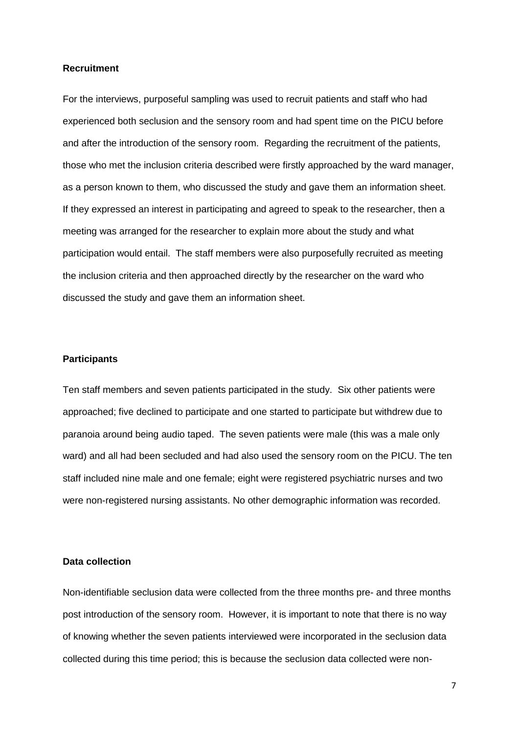#### **Recruitment**

For the interviews, purposeful sampling was used to recruit patients and staff who had experienced both seclusion and the sensory room and had spent time on the PICU before and after the introduction of the sensory room. Regarding the recruitment of the patients, those who met the inclusion criteria described were firstly approached by the ward manager, as a person known to them, who discussed the study and gave them an information sheet. If they expressed an interest in participating and agreed to speak to the researcher, then a meeting was arranged for the researcher to explain more about the study and what participation would entail. The staff members were also purposefully recruited as meeting the inclusion criteria and then approached directly by the researcher on the ward who discussed the study and gave them an information sheet.

# **Participants**

Ten staff members and seven patients participated in the study. Six other patients were approached; five declined to participate and one started to participate but withdrew due to paranoia around being audio taped. The seven patients were male (this was a male only ward) and all had been secluded and had also used the sensory room on the PICU. The ten staff included nine male and one female; eight were registered psychiatric nurses and two were non-registered nursing assistants. No other demographic information was recorded.

## **Data collection**

Non-identifiable seclusion data were collected from the three months pre- and three months post introduction of the sensory room. However, it is important to note that there is no way of knowing whether the seven patients interviewed were incorporated in the seclusion data collected during this time period; this is because the seclusion data collected were non-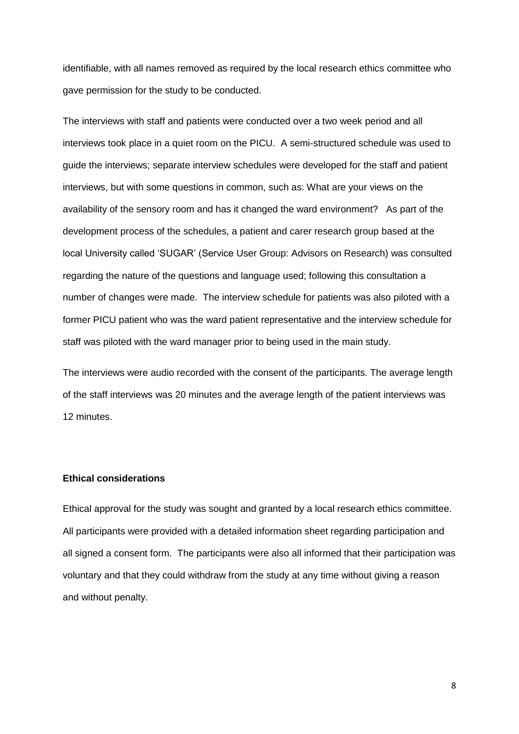identifiable, with all names removed as required by the local research ethics committee who gave permission for the study to be conducted.

The interviews with staff and patients were conducted over a two week period and all interviews took place in a quiet room on the PICU. A semi-structured schedule was used to guide the interviews; separate interview schedules were developed for the staff and patient interviews, but with some questions in common, such as: What are your views on the availability of the sensory room and has it changed the ward environment? As part of the development process of the schedules, a patient and carer research group based at the local University called 'SUGAR' (Service User Group: Advisors on Research) was consulted regarding the nature of the questions and language used; following this consultation a number of changes were made. The interview schedule for patients was also piloted with a former PICU patient who was the ward patient representative and the interview schedule for staff was piloted with the ward manager prior to being used in the main study.

The interviews were audio recorded with the consent of the participants. The average length of the staff interviews was 20 minutes and the average length of the patient interviews was 12 minutes.

# **Ethical considerations**

Ethical approval for the study was sought and granted by a local research ethics committee. All participants were provided with a detailed information sheet regarding participation and all signed a consent form. The participants were also all informed that their participation was voluntary and that they could withdraw from the study at any time without giving a reason and without penalty.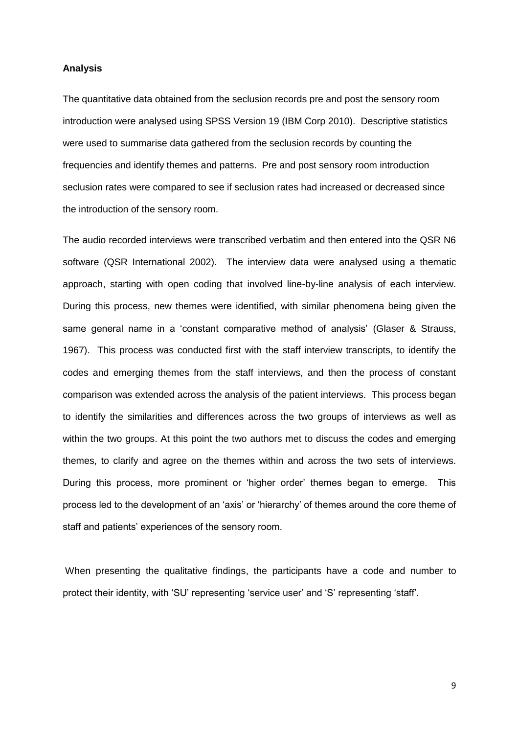#### **Analysis**

The quantitative data obtained from the seclusion records pre and post the sensory room introduction were analysed using SPSS Version 19 (IBM Corp 2010). Descriptive statistics were used to summarise data gathered from the seclusion records by counting the frequencies and identify themes and patterns. Pre and post sensory room introduction seclusion rates were compared to see if seclusion rates had increased or decreased since the introduction of the sensory room.

The audio recorded interviews were transcribed verbatim and then entered into the QSR N6 software (QSR International 2002). The interview data were analysed using a thematic approach, starting with open coding that involved line-by-line analysis of each interview. During this process, new themes were identified, with similar phenomena being given the same general name in a 'constant comparative method of analysis' (Glaser & Strauss, 1967). This process was conducted first with the staff interview transcripts, to identify the codes and emerging themes from the staff interviews, and then the process of constant comparison was extended across the analysis of the patient interviews. This process began to identify the similarities and differences across the two groups of interviews as well as within the two groups. At this point the two authors met to discuss the codes and emerging themes, to clarify and agree on the themes within and across the two sets of interviews. During this process, more prominent or 'higher order' themes began to emerge. This process led to the development of an 'axis' or 'hierarchy' of themes around the core theme of staff and patients' experiences of the sensory room.

When presenting the qualitative findings, the participants have a code and number to protect their identity, with 'SU' representing 'service user' and 'S' representing 'staff'.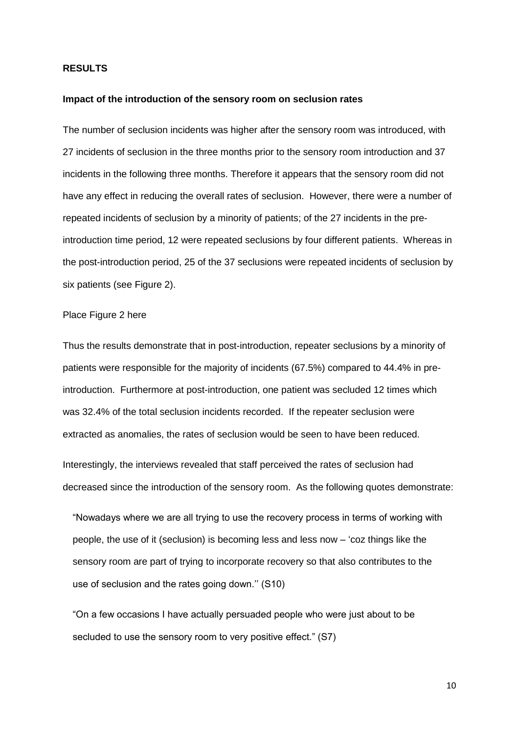# **RESULTS**

#### **Impact of the introduction of the sensory room on seclusion rates**

The number of seclusion incidents was higher after the sensory room was introduced, with 27 incidents of seclusion in the three months prior to the sensory room introduction and 37 incidents in the following three months. Therefore it appears that the sensory room did not have any effect in reducing the overall rates of seclusion. However, there were a number of repeated incidents of seclusion by a minority of patients; of the 27 incidents in the preintroduction time period, 12 were repeated seclusions by four different patients. Whereas in the post-introduction period, 25 of the 37 seclusions were repeated incidents of seclusion by six patients (see Figure 2).

#### Place Figure 2 here

Thus the results demonstrate that in post-introduction, repeater seclusions by a minority of patients were responsible for the majority of incidents (67.5%) compared to 44.4% in preintroduction. Furthermore at post-introduction, one patient was secluded 12 times which was 32.4% of the total seclusion incidents recorded. If the repeater seclusion were extracted as anomalies, the rates of seclusion would be seen to have been reduced.

Interestingly, the interviews revealed that staff perceived the rates of seclusion had decreased since the introduction of the sensory room. As the following quotes demonstrate:

"Nowadays where we are all trying to use the recovery process in terms of working with people, the use of it (seclusion) is becoming less and less now – 'coz things like the sensory room are part of trying to incorporate recovery so that also contributes to the use of seclusion and the rates going down.'' (S10)

"On a few occasions I have actually persuaded people who were just about to be secluded to use the sensory room to very positive effect." (S7)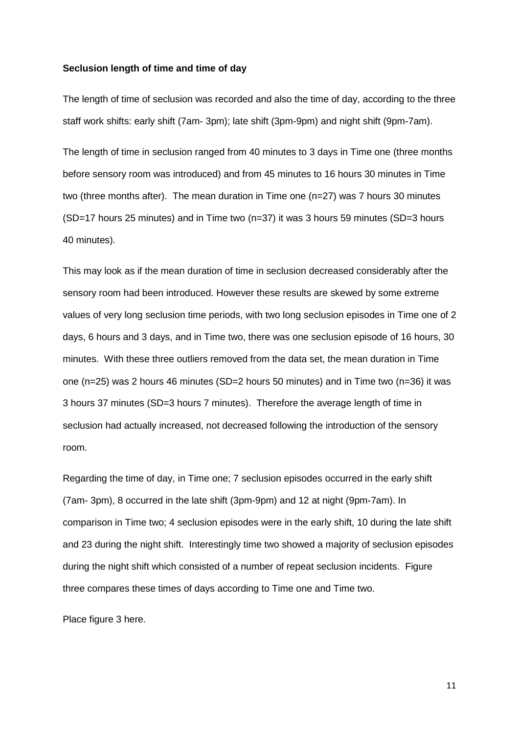#### **Seclusion length of time and time of day**

The length of time of seclusion was recorded and also the time of day, according to the three staff work shifts: early shift (7am- 3pm); late shift (3pm-9pm) and night shift (9pm-7am).

The length of time in seclusion ranged from 40 minutes to 3 days in Time one (three months before sensory room was introduced) and from 45 minutes to 16 hours 30 minutes in Time two (three months after). The mean duration in Time one (n=27) was 7 hours 30 minutes (SD=17 hours 25 minutes) and in Time two (n=37) it was 3 hours 59 minutes (SD=3 hours 40 minutes).

This may look as if the mean duration of time in seclusion decreased considerably after the sensory room had been introduced. However these results are skewed by some extreme values of very long seclusion time periods, with two long seclusion episodes in Time one of 2 days, 6 hours and 3 days, and in Time two, there was one seclusion episode of 16 hours, 30 minutes. With these three outliers removed from the data set, the mean duration in Time one (n=25) was 2 hours 46 minutes (SD=2 hours 50 minutes) and in Time two (n=36) it was 3 hours 37 minutes (SD=3 hours 7 minutes). Therefore the average length of time in seclusion had actually increased, not decreased following the introduction of the sensory room.

Regarding the time of day, in Time one; 7 seclusion episodes occurred in the early shift (7am- 3pm), 8 occurred in the late shift (3pm-9pm) and 12 at night (9pm-7am). In comparison in Time two; 4 seclusion episodes were in the early shift, 10 during the late shift and 23 during the night shift. Interestingly time two showed a majority of seclusion episodes during the night shift which consisted of a number of repeat seclusion incidents. Figure three compares these times of days according to Time one and Time two.

Place figure 3 here.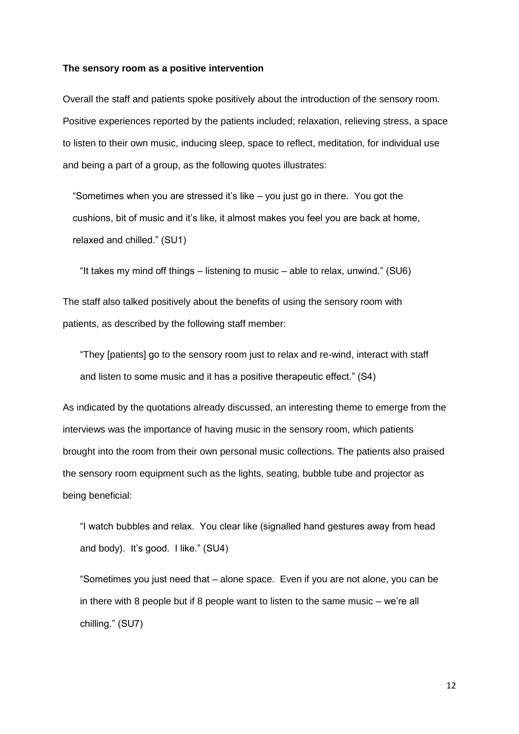#### **The sensory room as a positive intervention**

Overall the staff and patients spoke positively about the introduction of the sensory room. Positive experiences reported by the patients included; relaxation, relieving stress, a space to listen to their own music, inducing sleep, space to reflect, meditation, for individual use and being a part of a group, as the following quotes illustrates:

"Sometimes when you are stressed it's like – you just go in there. You got the cushions, bit of music and it's like, it almost makes you feel you are back at home, relaxed and chilled." (SU1)

"It takes my mind off things – listening to music – able to relax, unwind." (SU6)

The staff also talked positively about the benefits of using the sensory room with patients, as described by the following staff member:

"They [patients] go to the sensory room just to relax and re-wind, interact with staff and listen to some music and it has a positive therapeutic effect." (S4)

As indicated by the quotations already discussed, an interesting theme to emerge from the interviews was the importance of having music in the sensory room, which patients brought into the room from their own personal music collections. The patients also praised the sensory room equipment such as the lights, seating, bubble tube and projector as being beneficial:

"I watch bubbles and relax. You clear like (signalled hand gestures away from head and body). It's good. I like." (SU4)

"Sometimes you just need that – alone space. Even if you are not alone, you can be in there with 8 people but if 8 people want to listen to the same music – we're all chilling." (SU7)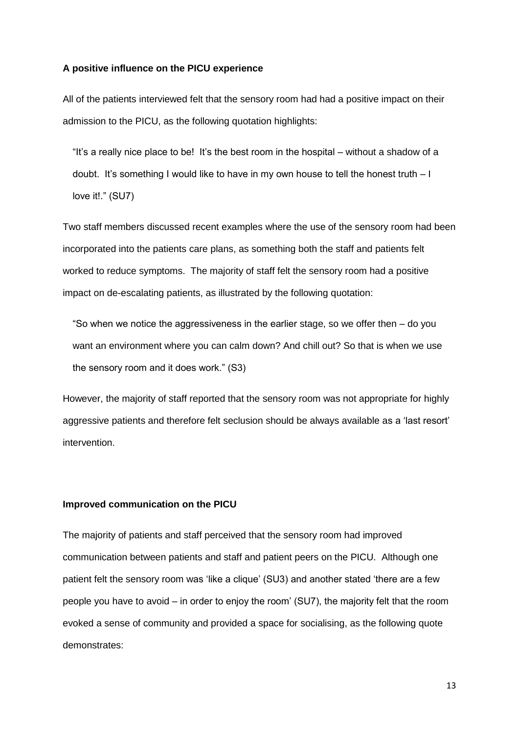#### **A positive influence on the PICU experience**

All of the patients interviewed felt that the sensory room had had a positive impact on their admission to the PICU, as the following quotation highlights:

"It's a really nice place to be! It's the best room in the hospital – without a shadow of a doubt. It's something I would like to have in my own house to tell the honest truth – I love it!." (SU7)

Two staff members discussed recent examples where the use of the sensory room had been incorporated into the patients care plans, as something both the staff and patients felt worked to reduce symptoms. The majority of staff felt the sensory room had a positive impact on de-escalating patients, as illustrated by the following quotation:

"So when we notice the aggressiveness in the earlier stage, so we offer then  $-$  do you want an environment where you can calm down? And chill out? So that is when we use the sensory room and it does work." (S3)

However, the majority of staff reported that the sensory room was not appropriate for highly aggressive patients and therefore felt seclusion should be always available as a 'last resort' intervention.

# **Improved communication on the PICU**

The majority of patients and staff perceived that the sensory room had improved communication between patients and staff and patient peers on the PICU. Although one patient felt the sensory room was 'like a clique' (SU3) and another stated 'there are a few people you have to avoid – in order to enjoy the room' (SU7), the majority felt that the room evoked a sense of community and provided a space for socialising, as the following quote demonstrates: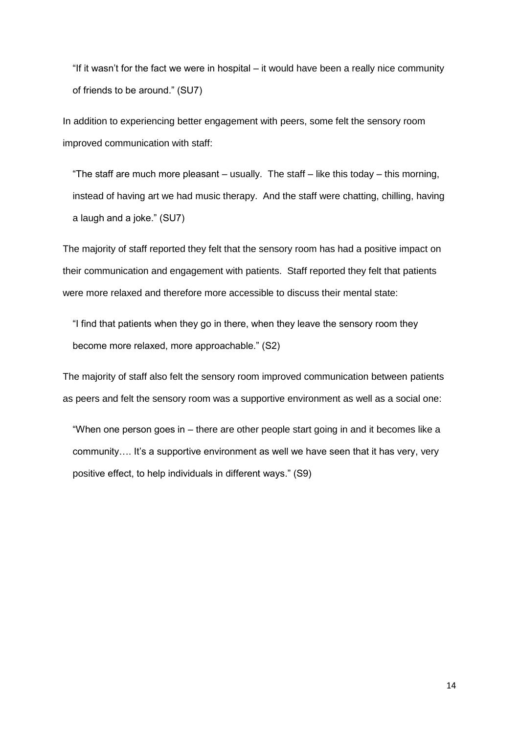"If it wasn't for the fact we were in hospital – it would have been a really nice community of friends to be around." (SU7)

In addition to experiencing better engagement with peers, some felt the sensory room improved communication with staff:

"The staff are much more pleasant – usually. The staff – like this today – this morning, instead of having art we had music therapy. And the staff were chatting, chilling, having a laugh and a joke." (SU7)

The majority of staff reported they felt that the sensory room has had a positive impact on their communication and engagement with patients. Staff reported they felt that patients were more relaxed and therefore more accessible to discuss their mental state:

"I find that patients when they go in there, when they leave the sensory room they become more relaxed, more approachable." (S2)

The majority of staff also felt the sensory room improved communication between patients as peers and felt the sensory room was a supportive environment as well as a social one:

"When one person goes in – there are other people start going in and it becomes like a community…. It's a supportive environment as well we have seen that it has very, very positive effect, to help individuals in different ways." (S9)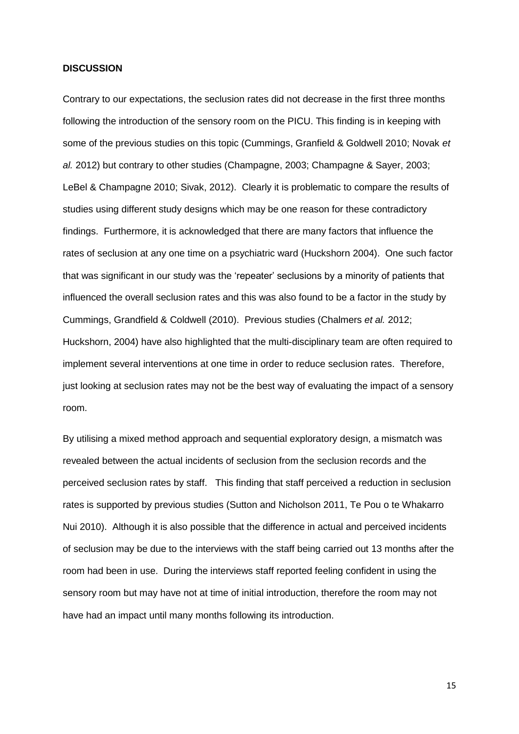# **DISCUSSION**

Contrary to our expectations, the seclusion rates did not decrease in the first three months following the introduction of the sensory room on the PICU. This finding is in keeping with some of the previous studies on this topic (Cummings, Granfield & Goldwell 2010; Novak *et al.* 2012) but contrary to other studies (Champagne, 2003; Champagne & Sayer, 2003; LeBel & Champagne 2010; Sivak, 2012). Clearly it is problematic to compare the results of studies using different study designs which may be one reason for these contradictory findings. Furthermore, it is acknowledged that there are many factors that influence the rates of seclusion at any one time on a psychiatric ward (Huckshorn 2004). One such factor that was significant in our study was the 'repeater' seclusions by a minority of patients that influenced the overall seclusion rates and this was also found to be a factor in the study by Cummings, Grandfield & Coldwell (2010). Previous studies (Chalmers *et al.* 2012; Huckshorn, 2004) have also highlighted that the multi-disciplinary team are often required to implement several interventions at one time in order to reduce seclusion rates. Therefore, just looking at seclusion rates may not be the best way of evaluating the impact of a sensory room.

By utilising a mixed method approach and sequential exploratory design, a mismatch was revealed between the actual incidents of seclusion from the seclusion records and the perceived seclusion rates by staff. This finding that staff perceived a reduction in seclusion rates is supported by previous studies (Sutton and Nicholson 2011, Te Pou o te Whakarro Nui 2010). Although it is also possible that the difference in actual and perceived incidents of seclusion may be due to the interviews with the staff being carried out 13 months after the room had been in use. During the interviews staff reported feeling confident in using the sensory room but may have not at time of initial introduction, therefore the room may not have had an impact until many months following its introduction.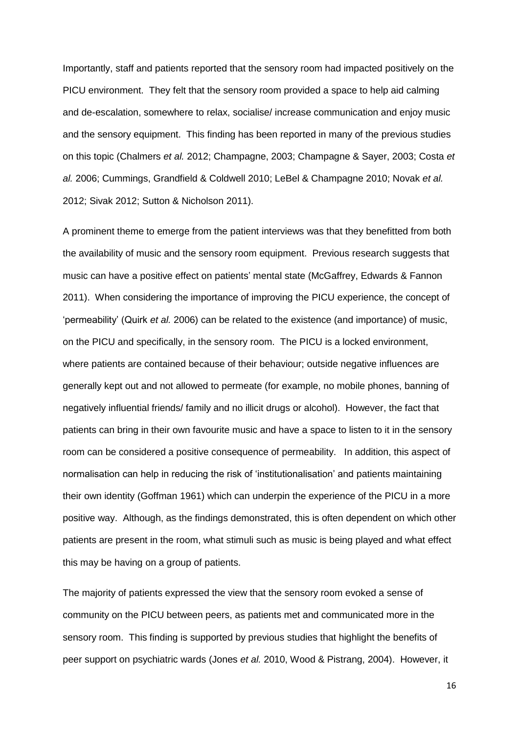Importantly, staff and patients reported that the sensory room had impacted positively on the PICU environment. They felt that the sensory room provided a space to help aid calming and de-escalation, somewhere to relax, socialise/ increase communication and enjoy music and the sensory equipment. This finding has been reported in many of the previous studies on this topic (Chalmers *et al.* 2012; Champagne, 2003; Champagne & Sayer, 2003; Costa *et al.* 2006; Cummings, Grandfield & Coldwell 2010; LeBel & Champagne 2010; Novak *et al.* 2012; Sivak 2012; Sutton & Nicholson 2011).

A prominent theme to emerge from the patient interviews was that they benefitted from both the availability of music and the sensory room equipment. Previous research suggests that music can have a positive effect on patients' mental state (McGaffrey, Edwards & Fannon 2011). When considering the importance of improving the PICU experience, the concept of 'permeability' (Quirk *et al.* 2006) can be related to the existence (and importance) of music, on the PICU and specifically, in the sensory room. The PICU is a locked environment, where patients are contained because of their behaviour; outside negative influences are generally kept out and not allowed to permeate (for example, no mobile phones, banning of negatively influential friends/ family and no illicit drugs or alcohol). However, the fact that patients can bring in their own favourite music and have a space to listen to it in the sensory room can be considered a positive consequence of permeability. In addition, this aspect of normalisation can help in reducing the risk of 'institutionalisation' and patients maintaining their own identity (Goffman 1961) which can underpin the experience of the PICU in a more positive way. Although, as the findings demonstrated, this is often dependent on which other patients are present in the room, what stimuli such as music is being played and what effect this may be having on a group of patients.

The majority of patients expressed the view that the sensory room evoked a sense of community on the PICU between peers, as patients met and communicated more in the sensory room. This finding is supported by previous studies that highlight the benefits of peer support on psychiatric wards (Jones *et al.* 2010, Wood & Pistrang, 2004). However, it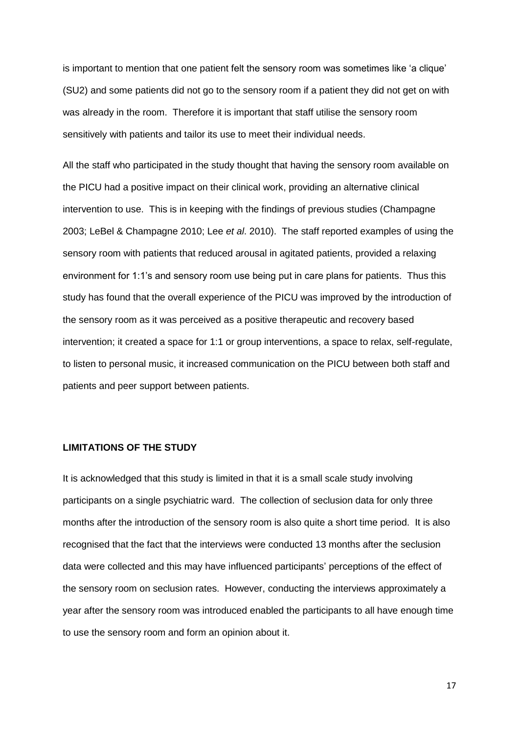is important to mention that one patient felt the sensory room was sometimes like 'a clique' (SU2) and some patients did not go to the sensory room if a patient they did not get on with was already in the room. Therefore it is important that staff utilise the sensory room sensitively with patients and tailor its use to meet their individual needs.

All the staff who participated in the study thought that having the sensory room available on the PICU had a positive impact on their clinical work, providing an alternative clinical intervention to use. This is in keeping with the findings of previous studies (Champagne 2003; LeBel & Champagne 2010; Lee *et al*. 2010). The staff reported examples of using the sensory room with patients that reduced arousal in agitated patients, provided a relaxing environment for 1:1's and sensory room use being put in care plans for patients. Thus this study has found that the overall experience of the PICU was improved by the introduction of the sensory room as it was perceived as a positive therapeutic and recovery based intervention; it created a space for 1:1 or group interventions, a space to relax, self-regulate, to listen to personal music, it increased communication on the PICU between both staff and patients and peer support between patients.

# **LIMITATIONS OF THE STUDY**

It is acknowledged that this study is limited in that it is a small scale study involving participants on a single psychiatric ward. The collection of seclusion data for only three months after the introduction of the sensory room is also quite a short time period. It is also recognised that the fact that the interviews were conducted 13 months after the seclusion data were collected and this may have influenced participants' perceptions of the effect of the sensory room on seclusion rates. However, conducting the interviews approximately a year after the sensory room was introduced enabled the participants to all have enough time to use the sensory room and form an opinion about it.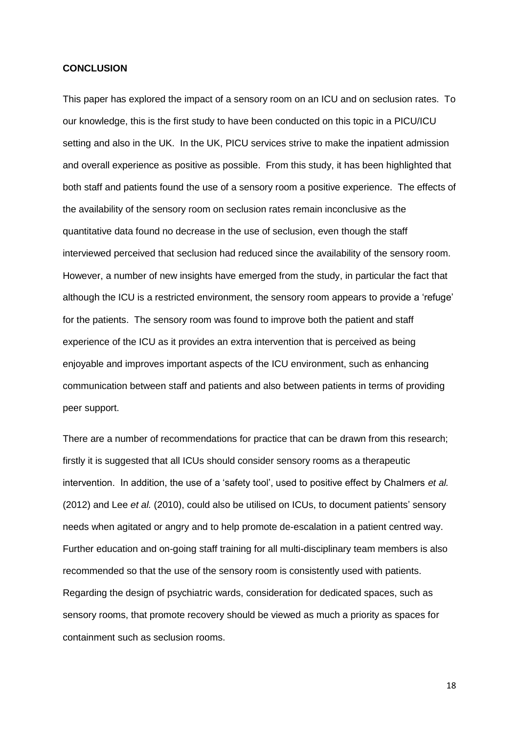#### **CONCLUSION**

This paper has explored the impact of a sensory room on an ICU and on seclusion rates. To our knowledge, this is the first study to have been conducted on this topic in a PICU/ICU setting and also in the UK. In the UK, PICU services strive to make the inpatient admission and overall experience as positive as possible. From this study, it has been highlighted that both staff and patients found the use of a sensory room a positive experience. The effects of the availability of the sensory room on seclusion rates remain inconclusive as the quantitative data found no decrease in the use of seclusion, even though the staff interviewed perceived that seclusion had reduced since the availability of the sensory room. However, a number of new insights have emerged from the study, in particular the fact that although the ICU is a restricted environment, the sensory room appears to provide a 'refuge' for the patients. The sensory room was found to improve both the patient and staff experience of the ICU as it provides an extra intervention that is perceived as being enjoyable and improves important aspects of the ICU environment, such as enhancing communication between staff and patients and also between patients in terms of providing peer support.

There are a number of recommendations for practice that can be drawn from this research; firstly it is suggested that all ICUs should consider sensory rooms as a therapeutic intervention. In addition, the use of a 'safety tool', used to positive effect by Chalmers *et al.* (2012) and Lee *et al.* (2010), could also be utilised on ICUs, to document patients' sensory needs when agitated or angry and to help promote de-escalation in a patient centred way. Further education and on-going staff training for all multi-disciplinary team members is also recommended so that the use of the sensory room is consistently used with patients. Regarding the design of psychiatric wards, consideration for dedicated spaces, such as sensory rooms, that promote recovery should be viewed as much a priority as spaces for containment such as seclusion rooms.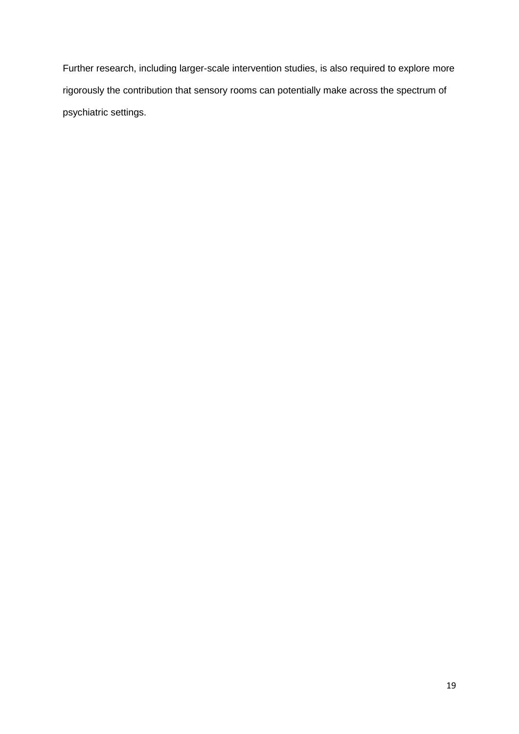Further research, including larger-scale intervention studies, is also required to explore more rigorously the contribution that sensory rooms can potentially make across the spectrum of psychiatric settings.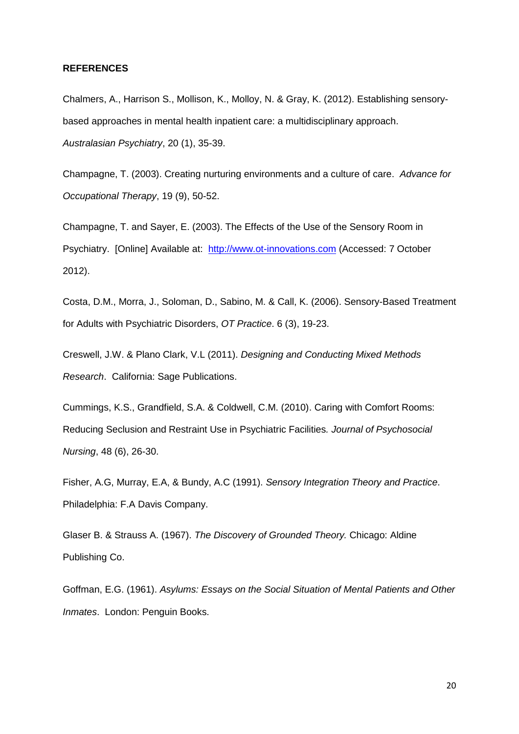#### **REFERENCES**

Chalmers, A., Harrison S., Mollison, K., Molloy, N. & Gray, K. (2012). Establishing sensorybased approaches in mental health inpatient care: a multidisciplinary approach. *Australasian Psychiatry*, 20 (1), 35-39.

Champagne, T. (2003). Creating nurturing environments and a culture of care. *Advance for Occupational Therapy*, 19 (9), 50-52.

Champagne, T. and Sayer, E. (2003). The Effects of the Use of the Sensory Room in Psychiatry. [Online] Available at: [http://www.ot-innovations.com](http://www.ot-inovations.com/) (Accessed: 7 October 2012).

Costa, D.M., Morra, J., Soloman, D., Sabino, M. & Call, K. (2006). Sensory-Based Treatment for Adults with Psychiatric Disorders, *OT Practice*. 6 (3), 19-23.

Creswell, J.W. & Plano Clark, V.L (2011). *Designing and Conducting Mixed Methods Research*. California: Sage Publications.

Cummings, K.S., Grandfield, S.A. & Coldwell, C.M. (2010). Caring with Comfort Rooms: Reducing Seclusion and Restraint Use in Psychiatric Facilities*. Journal of Psychosocial Nursing*, 48 (6), 26-30.

Fisher, A.G, Murray, E.A, & Bundy, A.C (1991). *Sensory Integration Theory and Practice*. Philadelphia: F.A Davis Company.

Glaser B. & Strauss A. (1967). *The Discovery of Grounded Theory.* Chicago: Aldine Publishing Co.

Goffman, E.G. (1961). *Asylums: Essays on the Social Situation of Mental Patients and Other Inmates*. London: Penguin Books.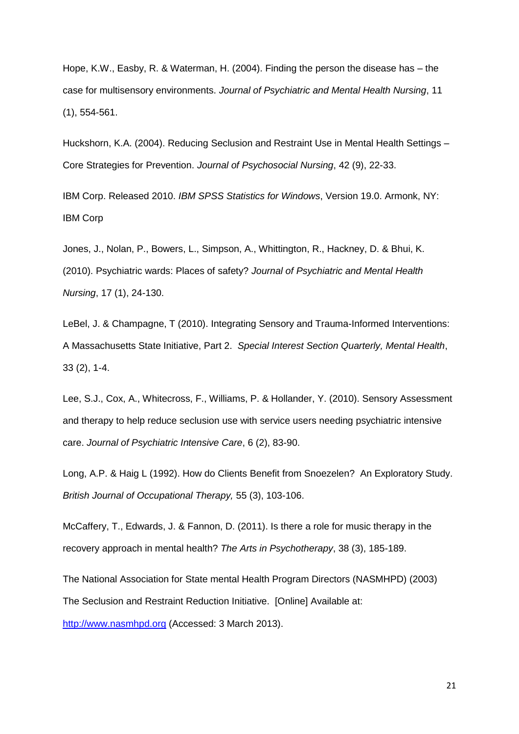Hope, K.W., Easby, R. & Waterman, H. (2004). Finding the person the disease has – the case for multisensory environments. *Journal of Psychiatric and Mental Health Nursing*, 11 (1), 554-561.

Huckshorn, K.A. (2004). Reducing Seclusion and Restraint Use in Mental Health Settings – Core Strategies for Prevention. *Journal of Psychosocial Nursing*, 42 (9), 22-33.

IBM Corp. Released 2010. *IBM SPSS Statistics for Windows*, Version 19.0. Armonk, NY: IBM Corp

Jones, J., Nolan, P., Bowers, L., Simpson, A., Whittington, R., Hackney, D. & Bhui, K. (2010). Psychiatric wards: Places of safety? *Journal of Psychiatric and Mental Health Nursing*, 17 (1), 24-130.

LeBel, J. & Champagne, T (2010). Integrating Sensory and Trauma-Informed Interventions: A Massachusetts State Initiative, Part 2. *Special Interest Section Quarterly, Mental Health*, 33 (2), 1-4.

Lee, S.J., Cox, A., Whitecross, F., Williams, P. & Hollander, Y. (2010). Sensory Assessment and therapy to help reduce seclusion use with service users needing psychiatric intensive care. *Journal of Psychiatric Intensive Care*, 6 (2), 83-90.

Long, A.P. & Haig L (1992). How do Clients Benefit from Snoezelen? An Exploratory Study. *British Journal of Occupational Therapy,* 55 (3), 103-106.

McCaffery, T., Edwards, J. & Fannon, D. (2011). Is there a role for music therapy in the recovery approach in mental health? *The Arts in Psychotherapy*, 38 (3), 185-189.

The National Association for State mental Health Program Directors (NASMHPD) (2003) The Seclusion and Restraint Reduction Initiative. [Online] Available at:

http://www.nasmhpd.org (Accessed: 3 March 2013).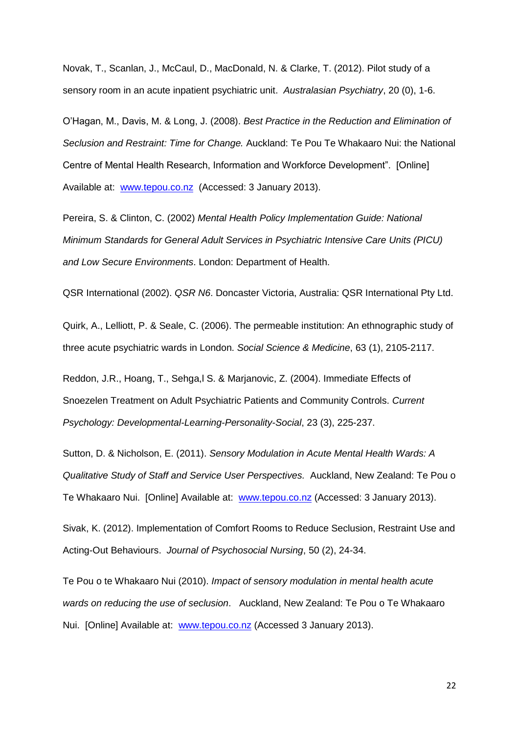Novak, T., Scanlan, J., McCaul, D., MacDonald, N. & Clarke, T. (2012). Pilot study of a sensory room in an acute inpatient psychiatric unit. *Australasian Psychiatry*, 20 (0), 1-6.

O'Hagan, M., Davis, M. & Long, J. (2008). *Best Practice in the Reduction and Elimination of Seclusion and Restraint: Time for Change.* Auckland: Te Pou Te Whakaaro Nui: the National Centre of Mental Health Research, Information and Workforce Development". [Online] Available at: [www.tepou.co.nz](http://www.tepou.co.nz/) (Accessed: 3 January 2013).

Pereira, S. & Clinton, C. (2002) *Mental Health Policy Implementation Guide: National Minimum Standards for General Adult Services in Psychiatric Intensive Care Units (PICU) and Low Secure Environments*. London: Department of Health.

QSR International (2002). *QSR N6*. Doncaster Victoria, Australia: QSR International Pty Ltd.

Quirk, A., Lelliott, P. & Seale, C. (2006). The permeable institution: An ethnographic study of three acute psychiatric wards in London. *Social Science & Medicine*, 63 (1), 2105-2117.

Reddon, J.R., Hoang, T., Sehga,l S. & Marjanovic, Z. (2004). Immediate Effects of Snoezelen Treatment on Adult Psychiatric Patients and Community Controls. *Current Psychology: Developmental-Learning-Personality-Social*, 23 (3), 225-237.

Sutton, D. & Nicholson, E. (2011). *Sensory Modulation in Acute Mental Health Wards: A Qualitative Study of Staff and Service User Perspectives.* Auckland, New Zealand: Te Pou o Te Whakaaro Nui. [Online] Available at: [www.tepou.co.nz](http://www.tepou.co.nz/) (Accessed: 3 January 2013).

Sivak, K. (2012). Implementation of Comfort Rooms to Reduce Seclusion, Restraint Use and Acting-Out Behaviours. *Journal of Psychosocial Nursing*, 50 (2), 24-34.

Te Pou o te Whakaaro Nui (2010). *Impact of sensory modulation in mental health acute wards on reducing the use of seclusion*. Auckland, New Zealand: Te Pou o Te Whakaaro Nui. [Online] Available at: [www.tepou.co.nz](http://www.tepou.co.nz/) (Accessed 3 January 2013).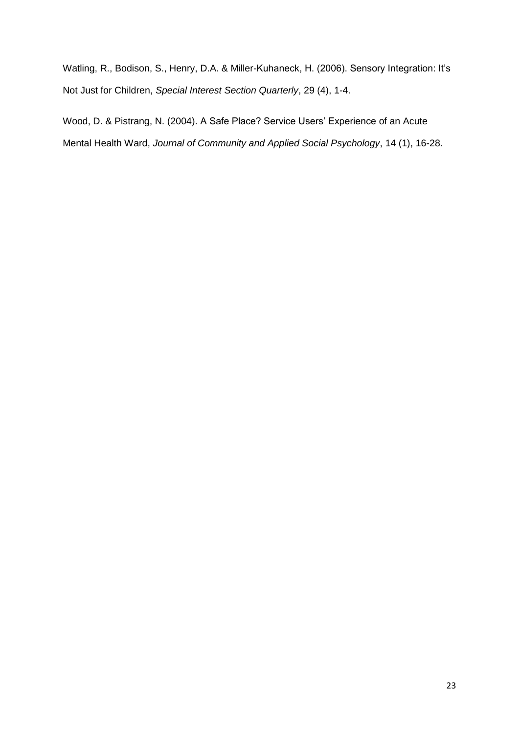Watling, R., Bodison, S., Henry, D.A. & Miller-Kuhaneck, H. (2006). Sensory Integration: It's Not Just for Children, *Special Interest Section Quarterly*, 29 (4), 1-4.

Wood, D. & Pistrang, N. (2004). A Safe Place? Service Users' Experience of an Acute Mental Health Ward, *Journal of Community and Applied Social Psychology*, 14 (1), 16-28.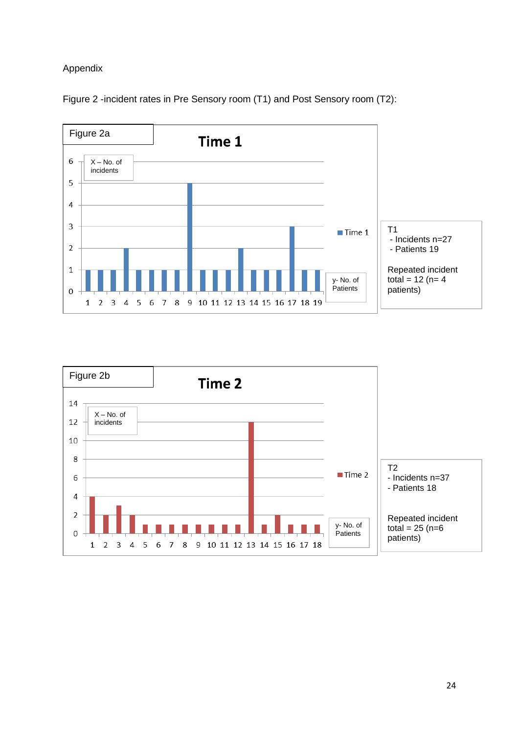# Appendix



Figure 2 -incident rates in Pre Sensory room (T1) and Post Sensory room (T2):